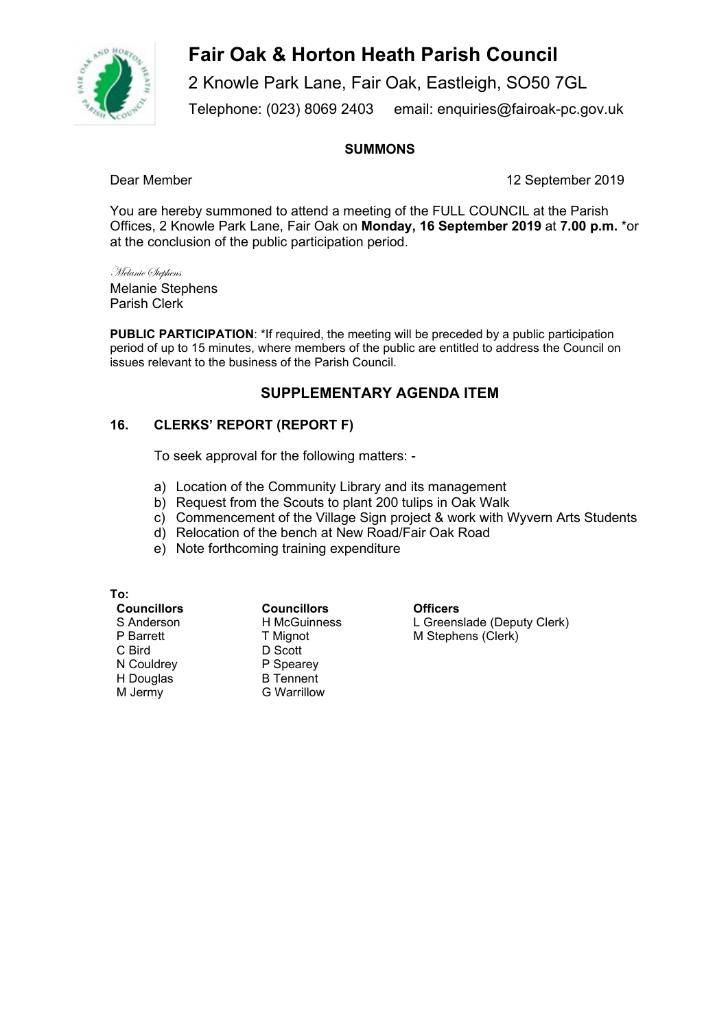

# **Fair Oak & Horton Heath Parish Council**

2 Knowle Park Lane, Fair Oak, Eastleigh, SO50 7GL Telephone: (023) 8069 2403 email: enquiries@fairoak-pc.gov.uk

## **SUMMONS**

Dear Member 12 September 2019

You are hereby summoned to attend a meeting of the FULL COUNCIL at the Parish Offices, 2 Knowle Park Lane, Fair Oak on **Monday, 16 September 2019** at **7.00 p.m.** \*or at the conclusion of the public participation period.

Melanie Stephens Melanie Stephens Parish Clerk

**PUBLIC PARTICIPATION**: \*If required, the meeting will be preceded by a public participation period of up to 15 minutes, where members of the public are entitled to address the Council on issues relevant to the business of the Parish Council.

## **SUPPLEMENTARY AGENDA ITEM**

### **16. CLERKS' REPORT (REPORT F)**

To seek approval for the following matters: -

- a) Location of the Community Library and its management
- b) Request from the Scouts to plant 200 tulips in Oak Walk
- c) Commencement of the Village Sign project & work with Wyvern Arts Students
- d) Relocation of the bench at New Road/Fair Oak Road
- e) Note forthcoming training expenditure

**To:**  S Anderson P Barrett C Bird N Couldrey H Douglas M Jermy

**Councillors Councillors Officers**  H McGuinness T Mignot D Scott P Spearey B Tennent G Warrillow

L Greenslade (Deputy Clerk) M Stephens (Clerk)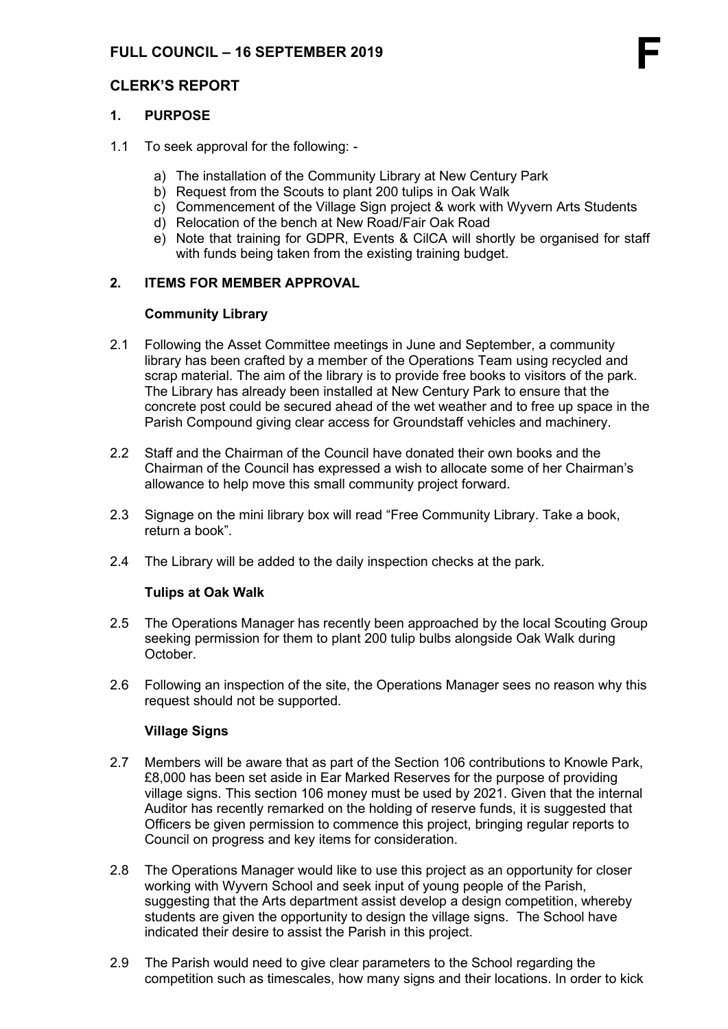## **1. PURPOSE**

- 1.1 To seek approval for the following:
	- a) The installation of the Community Library at New Century Park
	- b) Request from the Scouts to plant 200 tulips in Oak Walk
	- c) Commencement of the Village Sign project & work with Wyvern Arts Students
	- d) Relocation of the bench at New Road/Fair Oak Road
	- e) Note that training for GDPR, Events & CilCA will shortly be organised for staff with funds being taken from the existing training budget.

## **2. ITEMS FOR MEMBER APPROVAL**

### **Community Library**

- 2.1 Following the Asset Committee meetings in June and September, a community library has been crafted by a member of the Operations Team using recycled and scrap material. The aim of the library is to provide free books to visitors of the park. The Library has already been installed at New Century Park to ensure that the concrete post could be secured ahead of the wet weather and to free up space in the Parish Compound giving clear access for Groundstaff vehicles and machinery.
- 2.2 Staff and the Chairman of the Council have donated their own books and the Chairman of the Council has expressed a wish to allocate some of her Chairman's allowance to help move this small community project forward.
- 2.3 Signage on the mini library box will read "Free Community Library. Take a book, return a book".
- 2.4 The Library will be added to the daily inspection checks at the park.

#### **Tulips at Oak Walk**

- 2.5 The Operations Manager has recently been approached by the local Scouting Group seeking permission for them to plant 200 tulip bulbs alongside Oak Walk during **October**
- 2.6 Following an inspection of the site, the Operations Manager sees no reason why this request should not be supported.

#### **Village Signs**

- 2.7 Members will be aware that as part of the Section 106 contributions to Knowle Park, £8,000 has been set aside in Ear Marked Reserves for the purpose of providing village signs. This section 106 money must be used by 2021. Given that the internal Auditor has recently remarked on the holding of reserve funds, it is suggested that Officers be given permission to commence this project, bringing regular reports to Council on progress and key items for consideration.
- 2.8 The Operations Manager would like to use this project as an opportunity for closer working with Wyvern School and seek input of young people of the Parish, suggesting that the Arts department assist develop a design competition, whereby students are given the opportunity to design the village signs. The School have indicated their desire to assist the Parish in this project.
- 2.9 The Parish would need to give clear parameters to the School regarding the competition such as timescales, how many signs and their locations. In order to kick